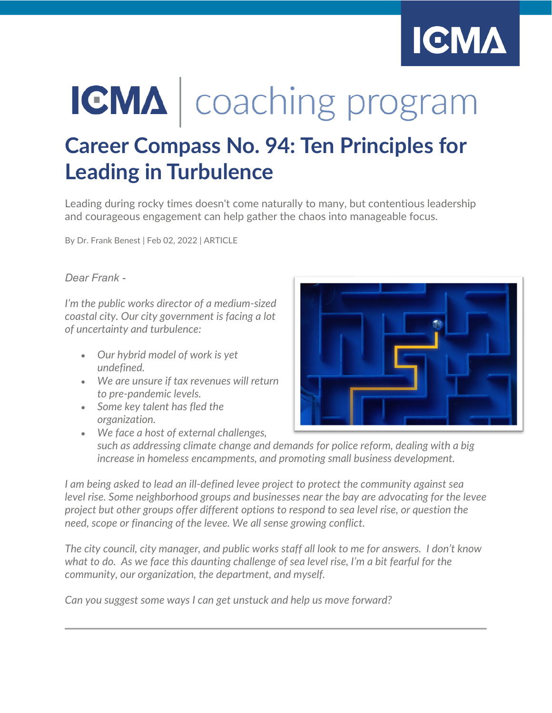

# **IGMA** | coaching program

## **Career Compass No. 94: Ten Principles for Leading in Turbulence**

Leading during rocky times doesn't come naturally to many, but contentious leadership and courageous engagement can help gather the chaos into manageable focus.

By Dr. Frank Benest | Feb 02, 2022 | ARTICLE

#### *Dear Frank -*

*I'm the public works director of a medium-sized coastal city. Our city government is facing a lot of uncertainty and turbulence:*

- *Our hybrid model of work is yet undefined.*
- *We are unsure if tax revenues will return to pre-pandemic levels.*
- *Some key talent has fled the organization.*



• *We face a host of external challenges, such as addressing climate change and demands for police reform, dealing with a big increase in homeless encampments, and promoting small business development.*

*I am being asked to lead an ill-defined levee project to protect the community against sea level rise. Some neighborhood groups and businesses near the bay are advocating for the levee project but other groups offer different options to respond to sea level rise, or question the need, scope or financing of the levee. We all sense growing conflict.*

*The city council, city manager, and public works staff all look to me for answers. I don't know what to do. As we face this daunting challenge of sea level rise, I'm a bit fearful for the community, our organization, the department, and myself.*

*Can you suggest some ways I can get unstuck and help us move forward?*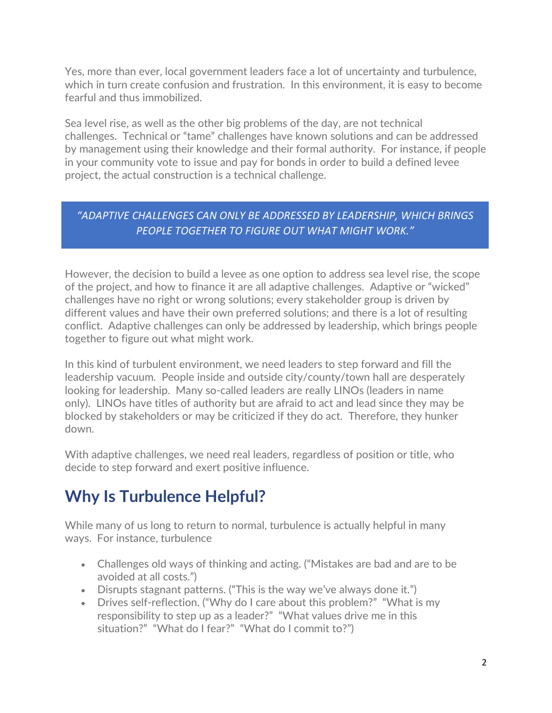Yes, more than ever, local government leaders face a lot of uncertainty and turbulence, which in turn create confusion and frustration. In this environment, it is easy to become fearful and thus immobilized.

Sea level rise, as well as the other big problems of the day, are not technical challenges. Technical or "tame" challenges have known solutions and can be addressed by management using their knowledge and their formal authority. For instance, if people in your community vote to issue and pay for bonds in order to build a defined levee project, the actual construction is a technical challenge.

#### *"ADAPTIVE CHALLENGES CAN ONLY BE ADDRESSED BY LEADERSHIP, WHICH BRINGS PEOPLE TOGETHER TO FIGURE OUT WHAT MIGHT WORK."*

However, the decision to build a levee as one option to address sea level rise, the scope of the project, and how to finance it are all adaptive challenges. Adaptive or "wicked" challenges have no right or wrong solutions; every stakeholder group is driven by different values and have their own preferred solutions; and there is a lot of resulting conflict. Adaptive challenges can only be addressed by leadership, which brings people together to figure out what might work.

In this kind of turbulent environment, we need leaders to step forward and fill the leadership vacuum. People inside and outside city/county/town hall are desperately looking for leadership. Many so-called leaders are really LINOs (leaders in name only). LINOs have titles of authority but are afraid to act and lead since they may be blocked by stakeholders or may be criticized if they do act. Therefore, they hunker down.

With adaptive challenges, we need real leaders, regardless of position or title, who decide to step forward and exert positive influence.

## **Why Is Turbulence Helpful?**

While many of us long to return to normal, turbulence is actually helpful in many ways. For instance, turbulence

- Challenges old ways of thinking and acting. ("Mistakes are bad and are to be avoided at all costs.")
- Disrupts stagnant patterns. ("This is the way we've always done it.")
- Drives self-reflection. ("Why do I care about this problem?" "What is my responsibility to step up as a leader?" "What values drive me in this situation?" "What do I fear?" "What do I commit to?")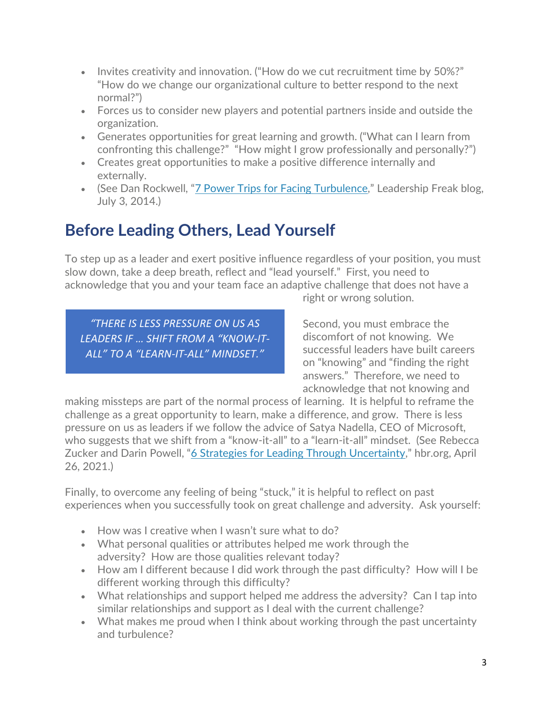- Invites creativity and innovation. ("How do we cut recruitment time by 50%?" "How do we change our organizational culture to better respond to the next normal?")
- Forces us to consider new players and potential partners inside and outside the organization.
- Generates opportunities for great learning and growth. ("What can I learn from confronting this challenge?" "How might I grow professionally and personally?")
- Creates great opportunities to make a positive difference internally and externally.
- (See Dan Rockwell, ["7 Power Trips for Facing Turbulence,](https://leadershipfreak.blog/2014/07/03/7-power-tips-for-facing-turbulence/)" Leadership Freak blog, July 3, 2014.)

## **Before Leading Others, Lead Yourself**

To step up as a leader and exert positive influence regardless of your position, you must slow down, take a deep breath, reflect and "lead yourself." First, you need to acknowledge that you and your team face an adaptive challenge that does not have a

*"THERE IS LESS PRESSURE ON US AS LEADERS IF … SHIFT FROM A "KNOW-IT-ALL" TO A "LEARN-IT-ALL" MINDSET."*

right or wrong solution.

Second, you must embrace the discomfort of not knowing. We successful leaders have built careers on "knowing" and "finding the right answers." Therefore, we need to acknowledge that not knowing and

making missteps are part of the normal process of learning. It is helpful to reframe the challenge as a great opportunity to learn, make a difference, and grow. There is less pressure on us as leaders if we follow the advice of Satya Nadella, CEO of Microsoft, who suggests that we shift from a "know-it-all" to a "learn-it-all" mindset. (See Rebecca Zucker and Darin Powell, ["6 Strategies for Leading Through Uncertainty,](https://hbr.org/2021/04/6-strategies-for-leading-through-uncertainty)" hbr.org, April 26, 2021.)

Finally, to overcome any feeling of being "stuck," it is helpful to reflect on past experiences when you successfully took on great challenge and adversity. Ask yourself:

- How was I creative when I wasn't sure what to do?
- What personal qualities or attributes helped me work through the adversity? How are those qualities relevant today?
- How am I different because I did work through the past difficulty? How will I be different working through this difficulty?
- What relationships and support helped me address the adversity? Can I tap into similar relationships and support as I deal with the current challenge?
- What makes me proud when I think about working through the past uncertainty and turbulence?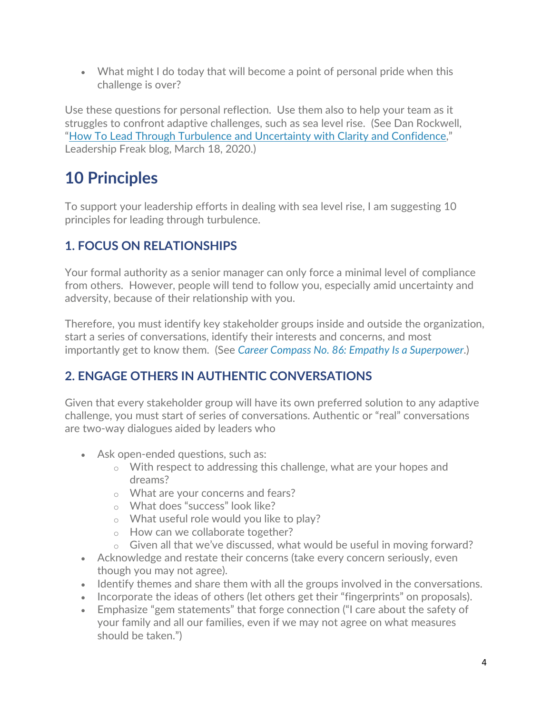• What might I do today that will become a point of personal pride when this challenge is over?

Use these questions for personal reflection. Use them also to help your team as it struggles to confront adaptive challenges, such as sea level rise. (See Dan Rockwell, ["How To Lead Through Turbulence and Uncertainty with Clarity and Confidence,](https://leadershipfreak.blog/2020/03/18/how-to-lead-through-turbulence-and-uncertainty-with-clarity-and-confidence/)" Leadership Freak blog, March 18, 2020.)

## **10 Principles**

To support your leadership efforts in dealing with sea level rise, I am suggesting 10 principles for leading through turbulence.

#### **1. FOCUS ON RELATIONSHIPS**

Your formal authority as a senior manager can only force a minimal level of compliance from others. However, people will tend to follow you, especially amid uncertainty and adversity, because of their relationship with you.

Therefore, you must identify key stakeholder groups inside and outside the organization, start a series of conversations, identify their interests and concerns, and most importantly get to know them. (See *[Career Compass No. 86: Empathy Is a Superpower](https://icma.org/articles/article/career-compass-no-86-empathy-superpower)*.)

#### **2. ENGAGE OTHERS IN AUTHENTIC CONVERSATIONS**

Given that every stakeholder group will have its own preferred solution to any adaptive challenge, you must start of series of conversations. Authentic or "real" conversations are two-way dialogues aided by leaders who

- Ask open-ended questions, such as:
	- o With respect to addressing this challenge, what are your hopes and dreams?
	- o What are your concerns and fears?
	- o What does "success" look like?
	- o What useful role would you like to play?
	- o How can we collaborate together?
	- $\circ$  Given all that we've discussed, what would be useful in moving forward?
- Acknowledge and restate their concerns (take every concern seriously, even though you may not agree).
- Identify themes and share them with all the groups involved in the conversations.
- Incorporate the ideas of others (let others get their "fingerprints" on proposals).
- Emphasize "gem statements" that forge connection ("I care about the safety of your family and all our families, even if we may not agree on what measures should be taken.")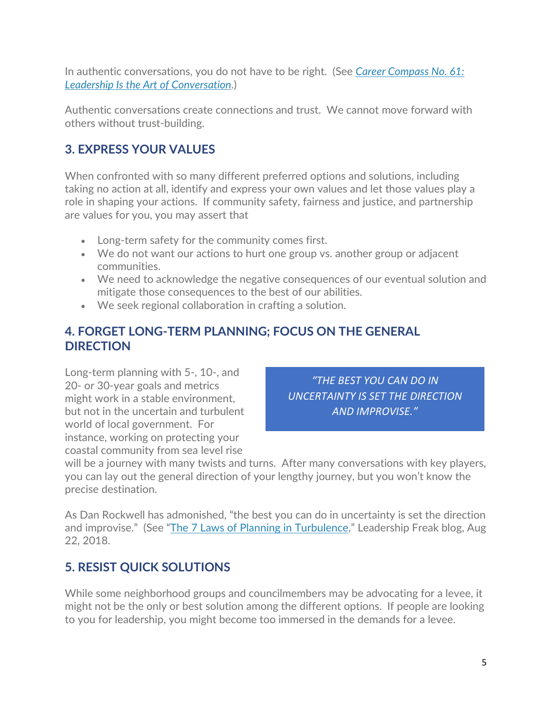In authentic conversations, you do not have to be right. (See *[Career Compass No. 61:](https://icma.org/articles/article/career-compass-no-61-leadership-art-conversation)  [Leadership Is the Art of Conversation](https://icma.org/articles/article/career-compass-no-61-leadership-art-conversation)*.)

Authentic conversations create connections and trust. We cannot move forward with others without trust-building.

#### **3. EXPRESS YOUR VALUES**

When confronted with so many different preferred options and solutions, including taking no action at all, identify and express your own values and let those values play a role in shaping your actions. If community safety, fairness and justice, and partnership are values for you, you may assert that

- Long-term safety for the community comes first.
- We do not want our actions to hurt one group vs. another group or adjacent communities.
- We need to acknowledge the negative consequences of our eventual solution and mitigate those consequences to the best of our abilities.
- We seek regional collaboration in crafting a solution.

#### **4. FORGET LONG-TERM PLANNING; FOCUS ON THE GENERAL DIRECTION**

Long-term planning with 5-, 10-, and 20- or 30-year goals and metrics might work in a stable environment, but not in the uncertain and turbulent world of local government. For instance, working on protecting your coastal community from sea level rise

*"THE BEST YOU CAN DO IN UNCERTAINTY IS SET THE DIRECTION AND IMPROVISE."*

will be a journey with many twists and turns. After many conversations with key players, you can lay out the general direction of your lengthy journey, but you won't know the precise destination.

As Dan Rockwell has admonished, "the best you can do in uncertainty is set the direction and improvise." (See ["The 7 Laws of Planning in Turbulence,](https://leadershipfreak.blog/2018/08/22/the-7-laws-of-planning-in-turbulent-environments/)" Leadership Freak blog, Aug 22, 2018.

#### **5. RESIST QUICK SOLUTIONS**

While some neighborhood groups and councilmembers may be advocating for a levee, it might not be the only or best solution among the different options. If people are looking to you for leadership, you might become too immersed in the demands for a levee.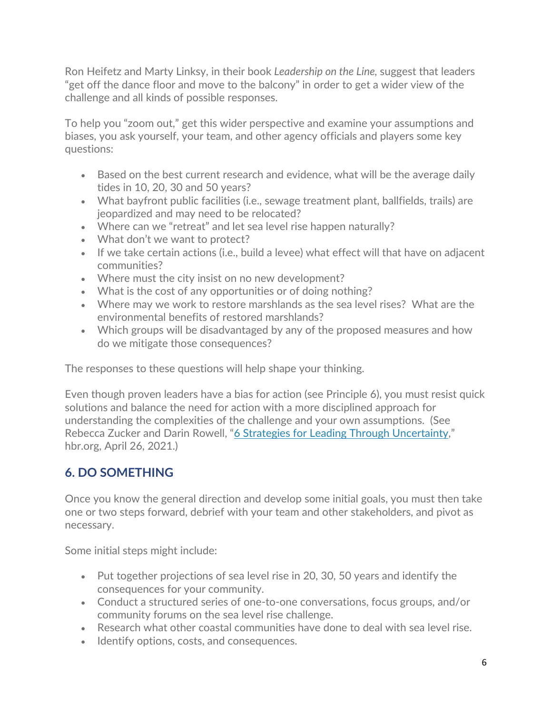Ron Heifetz and Marty Linksy, in their book *Leadership on the Line,* suggest that leaders "get off the dance floor and move to the balcony" in order to get a wider view of the challenge and all kinds of possible responses.

To help you "zoom out," get this wider perspective and examine your assumptions and biases, you ask yourself, your team, and other agency officials and players some key questions:

- Based on the best current research and evidence, what will be the average daily tides in 10, 20, 30 and 50 years?
- What bayfront public facilities (i.e., sewage treatment plant, ballfields, trails) are jeopardized and may need to be relocated?
- Where can we "retreat" and let sea level rise happen naturally?
- What don't we want to protect?
- If we take certain actions (i.e., build a levee) what effect will that have on adjacent communities?
- Where must the city insist on no new development?
- What is the cost of any opportunities or of doing nothing?
- Where may we work to restore marshlands as the sea level rises? What are the environmental benefits of restored marshlands?
- Which groups will be disadvantaged by any of the proposed measures and how do we mitigate those consequences?

The responses to these questions will help shape your thinking.

Even though proven leaders have a bias for action (see Principle 6), you must resist quick solutions and balance the need for action with a more disciplined approach for understanding the complexities of the challenge and your own assumptions. (See Rebecca Zucker and Darin Rowell, ["6 Strategies for Leading Through Uncertainty,](https://hbr.org/2021/04/6-strategies-for-leading-through-uncertainty)" hbr.org, April 26, 2021.)

#### **6. DO SOMETHING**

Once you know the general direction and develop some initial goals, you must then take one or two steps forward, debrief with your team and other stakeholders, and pivot as necessary.

Some initial steps might include:

- Put together projections of sea level rise in 20, 30, 50 years and identify the consequences for your community.
- Conduct a structured series of one-to-one conversations, focus groups, and/or community forums on the sea level rise challenge.
- Research what other coastal communities have done to deal with sea level rise.
- Identify options, costs, and consequences.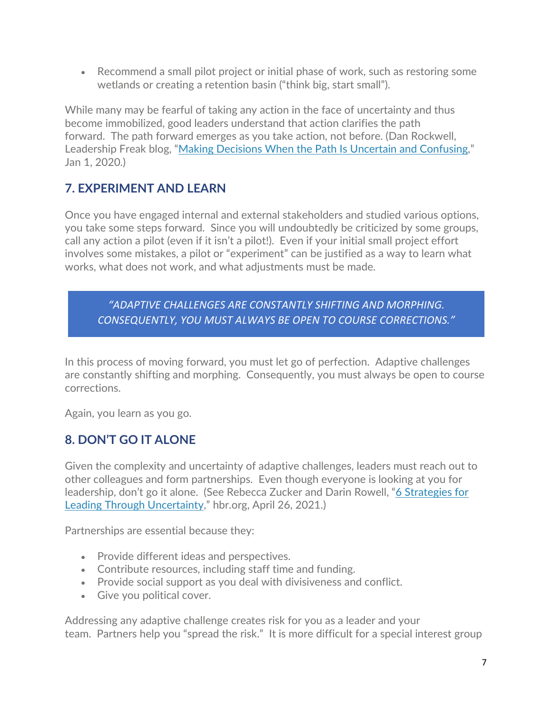• Recommend a small pilot project or initial phase of work, such as restoring some wetlands or creating a retention basin ("think big, start small").

While many may be fearful of taking any action in the face of uncertainty and thus become immobilized, good leaders understand that action clarifies the path forward. The path forward emerges as you take action, not before. (Dan Rockwell, Leadership Freak blog, ["Making Decisions When the Path Is Uncertain and Confusing,](https://leadershipfreak.blog/2020/01/21/making-decisions-when-the-path-is-uncertain-and-confusing/)" Jan 1, 2020.)

#### **7. EXPERIMENT AND LEARN**

Once you have engaged internal and external stakeholders and studied various options, you take some steps forward. Since you will undoubtedly be criticized by some groups, call any action a pilot (even if it isn't a pilot!). Even if your initial small project effort involves some mistakes, a pilot or "experiment" can be justified as a way to learn what works, what does not work, and what adjustments must be made.

*"ADAPTIVE CHALLENGES ARE CONSTANTLY SHIFTING AND MORPHING. CONSEQUENTLY, YOU MUST ALWAYS BE OPEN TO COURSE CORRECTIONS."*

In this process of moving forward, you must let go of perfection. Adaptive challenges are constantly shifting and morphing. Consequently, you must always be open to course corrections.

Again, you learn as you go.

#### **8. DON'T GO IT ALONE**

Given the complexity and uncertainty of adaptive challenges, leaders must reach out to other colleagues and form partnerships. Even though everyone is looking at you for leadership, don't go it alone. (See Rebecca Zucker and Darin Rowell, ["6 Strategies for](https://hbr.org/2021/04/6-strategies-for-leading-through-uncertainty)  [Leading Through Uncertainty,](https://hbr.org/2021/04/6-strategies-for-leading-through-uncertainty)" hbr.org, April 26, 2021.)

Partnerships are essential because they:

- Provide different ideas and perspectives.
- Contribute resources, including staff time and funding.
- Provide social support as you deal with divisiveness and conflict.
- Give you political cover.

Addressing any adaptive challenge creates risk for you as a leader and your team. Partners help you "spread the risk." It is more difficult for a special interest group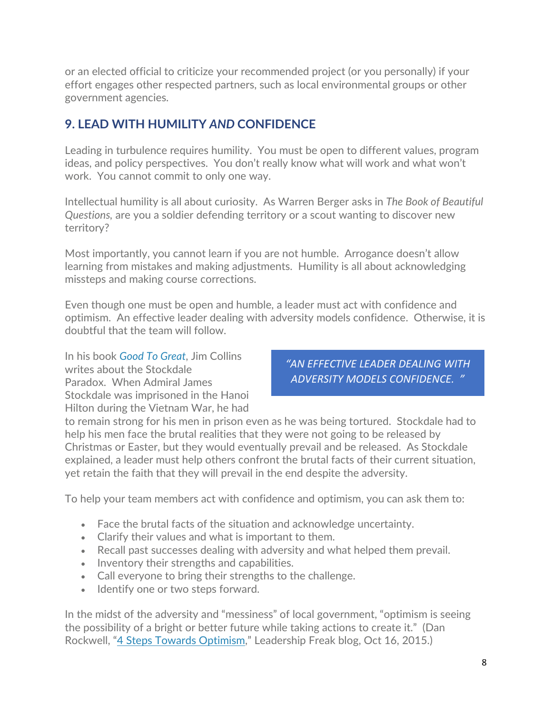or an elected official to criticize your recommended project (or you personally) if your effort engages other respected partners, such as local environmental groups or other government agencies.

#### **9. LEAD WITH HUMILITY** *AND* **CONFIDENCE**

Leading in turbulence requires humility. You must be open to different values, program ideas, and policy perspectives. You don't really know what will work and what won't work. You cannot commit to only one way.

Intellectual humility is all about curiosity. As Warren Berger asks in *The Book of Beautiful Questions,* are you a soldier defending territory or a scout wanting to discover new territory?

Most importantly, you cannot learn if you are not humble. Arrogance doesn't allow learning from mistakes and making adjustments. Humility is all about acknowledging missteps and making course corrections.

Even though one must be open and humble, a leader must act with confidence and optimism. An effective leader dealing with adversity models confidence. Otherwise, it is doubtful that the team will follow.

In his book *[Good To Great](https://icma.org/member-exclusive-leading-ideas-series#jcollins)*, Jim Collins writes about the Stockdale Paradox. When Admiral James Stockdale was imprisoned in the Hanoi Hilton during the Vietnam War, he had

*"AN EFFECTIVE LEADER DEALING WITH ADVERSITY MODELS CONFIDENCE. "*

to remain strong for his men in prison even as he was being tortured. Stockdale had to help his men face the brutal realities that they were not going to be released by Christmas or Easter, but they would eventually prevail and be released. As Stockdale explained, a leader must help others confront the brutal facts of their current situation, yet retain the faith that they will prevail in the end despite the adversity.

To help your team members act with confidence and optimism, you can ask them to:

- Face the brutal facts of the situation and acknowledge uncertainty.
- Clarify their values and what is important to them.
- Recall past successes dealing with adversity and what helped them prevail.
- Inventory their strengths and capabilities.
- Call everyone to bring their strengths to the challenge.
- Identify one or two steps forward.

In the midst of the adversity and "messiness" of local government, "optimism is seeing the possibility of a bright or better future while taking actions to create it." (Dan Rockwell, ["4 Steps Towards Optimism,](https://leadershipfreak.blog/2015/10/16/4-steps-toward-optimism/)" Leadership Freak blog, Oct 16, 2015.)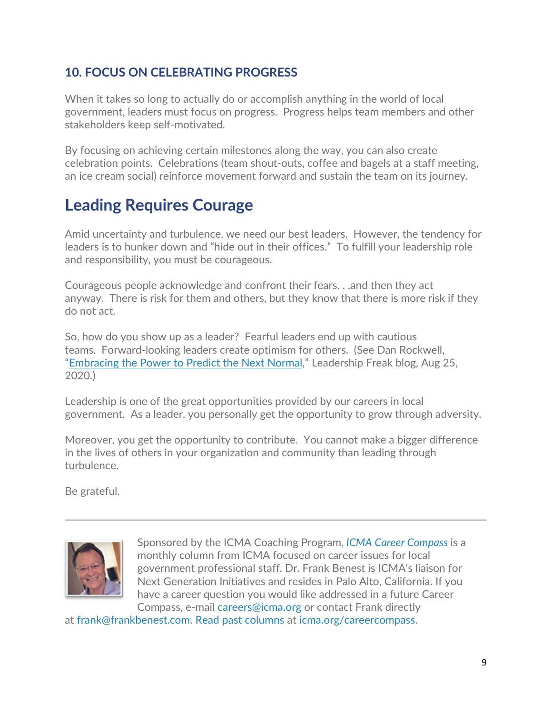#### **10. FOCUS ON CELEBRATING PROGRESS**

When it takes so long to actually do or accomplish anything in the world of local government, leaders must focus on progress. Progress helps team members and other stakeholders keep self-motivated.

By focusing on achieving certain milestones along the way, you can also create celebration points. Celebrations (team shout-outs, coffee and bagels at a staff meeting, an ice cream social) reinforce movement forward and sustain the team on its journey.

## **Leading Requires Courage**

Amid uncertainty and turbulence, we need our best leaders. However, the tendency for leaders is to hunker down and "hide out in their offices." To fulfill your leadership role and responsibility, you must be courageous.

Courageous people acknowledge and confront their fears. . .and then they act anyway. There is risk for them and others, but they know that there is more risk if they do not act.

So, how do you show up as a leader? Fearful leaders end up with cautious teams. Forward-looking leaders create optimism for others. (See Dan Rockwell, ["Embracing the Power to Predict the Next Normal,](https://leadershipfreak.blog/2020/08/25/how-to-predict-the-next-normal/)" Leadership Freak blog, Aug 25, 2020.)

Leadership is one of the great opportunities provided by our careers in local government. As a leader, you personally get the opportunity to grow through adversity.

Moreover, you get the opportunity to contribute. You cannot make a bigger difference in the lives of others in your organization and community than leading through turbulence.

Be grateful.



Sponsored by the ICMA Coaching Program, *[ICMA Career Compass](https://icma.org/career-compass)* is a monthly column from ICMA focused on career issues for local government professional staff. Dr. Frank Benest is ICMA's liaison for Next Generation Initiatives and resides in Palo Alto, California. If you have a career question you would like addressed in a future Career Compass, e-mail [careers@icma.org](mailto:careers@icma.org) or contact Frank directly

at [frank@frankbenest.com.](mailto:frank@frankbenest.com) [Read past columns](http://icma.org/careercompass) at [icma.org/careercompass.](https://icma.org/career-compass)